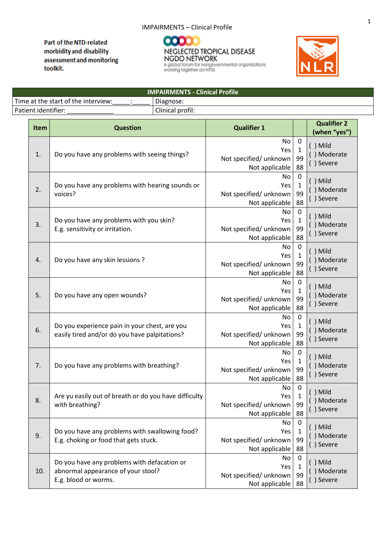## IMPAIRMENTS – Clinical Profile

**IMPAIRMENTS - Clinical Profile**

Part of the NTD-related morbidity and disability assessment and monitoring toolkit.





| Time at the start of the interview:<br>Diagnose: |                                                                                                           |                  |                                                        |                                              |                                        |
|--------------------------------------------------|-----------------------------------------------------------------------------------------------------------|------------------|--------------------------------------------------------|----------------------------------------------|----------------------------------------|
| Patient identifier:                              |                                                                                                           | Clinical profil: |                                                        |                                              |                                        |
| <b>Item</b>                                      | <b>Question</b>                                                                                           |                  | <b>Qualifier 1</b>                                     |                                              | <b>Qualifier 2</b><br>(when "yes")     |
| 1.                                               | Do you have any problems with seeing things?                                                              |                  | No<br>Yes<br>Not specified/ unknown<br>Not applicable  | $\boldsymbol{0}$<br>$\mathbf{1}$<br>99<br>88 | $( )$ Mild<br>() Moderate<br>() Severe |
| 2.                                               | Do you have any problems with hearing sounds or<br>voices?                                                |                  | No<br>Yes<br>Not specified/ unknown<br>Not applicable  | $\boldsymbol{0}$<br>$\mathbf 1$<br>99<br>88  | $( )$ Mild<br>() Moderate<br>() Severe |
| 3.                                               | Do you have any problems with you skin?<br>E.g. sensitivity or irritation.                                |                  | No<br>Yes<br>Not specified/ unknown<br>Not applicable  | $\boldsymbol{0}$<br>$\mathbf 1$<br>99<br>88  | $( )$ Mild<br>() Moderate<br>() Severe |
| 4.                                               | Do you have any skin lessions ?                                                                           |                  | No<br>Yes<br>Not specified/ unknown<br>Not applicable  | $\boldsymbol{0}$<br>$\mathbf{1}$<br>99<br>88 | $( )$ Mild<br>() Moderate<br>() Severe |
| 5.                                               | Do you have any open wounds?                                                                              |                  | No<br>Yes<br>Not specified/ unknown<br>Not applicable  | $\boldsymbol{0}$<br>$\mathbf 1$<br>99<br>88  | $( )$ Mild<br>() Moderate<br>() Severe |
| 6.                                               | Do you experience pain in your chest, are you<br>easily tired and/or do you have palpitations?            |                  | No<br>Yes<br>Not specified/ unknown<br>Not applicable  | $\pmb{0}$<br>$\mathbf{1}$<br>99<br>88        | $( )$ Mild<br>() Moderate<br>() Severe |
| 7.                                               | Do you have any problems with breathing?                                                                  |                  | No<br>Yes<br>Not specified/ unknown<br>Not applicable  | $\boldsymbol{0}$<br>$\mathbf 1$<br>99<br>88  | $( )$ Mild<br>() Moderate<br>() Severe |
| 8.                                               | Are yu easily out of breath or do you have difficulty<br>with breathing?                                  |                  | No<br>Yes<br>Not specified/ unknown<br>Not applicable  | $\pmb{0}$<br>1<br>99<br>88                   | $( )$ Mild<br>() Moderate<br>() Severe |
| 9.                                               | Do you have any problems with swallowing food?<br>E.g. choking or food that gets stuck.                   |                  | No.<br>Yes<br>Not specified/ unknown<br>Not applicable | $\boldsymbol{0}$<br>$\mathbf{1}$<br>99<br>88 | $( )$ Mild<br>() Moderate<br>() Severe |
| 10.                                              | Do you have any problems with defacation or<br>abnormal appearance of your stool?<br>E.g. blood or worms. |                  | No<br>Yes<br>Not specified/ unknown<br>Not applicable  | $\mathbf 0$<br>1<br>99<br>88                 | $( )$ Mild<br>() Moderate<br>() Severe |